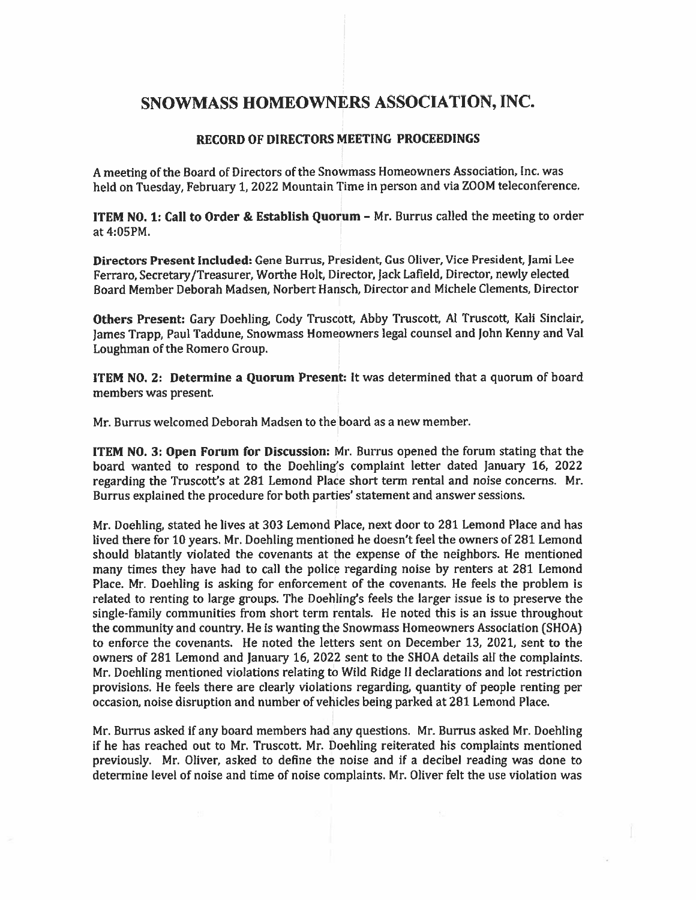# SNOWMASS HOMEOWNERS ASSOCIATION, INC.

## RECORD OF DIRECTORS MEETING PROCEEDINGS

<sup>A</sup> meeting of the Board of Directors of the Snowmass Homeowners Association, Inc. was held on Tuesday, February 1, <sup>2022</sup> Mountain Time in person and via ZOOM teleconference.

ITEM NO. 1: Call to Order & Establish Quorum — Mr. Burrus called the meeting to order at 4:05PM.

Directors Present Included: Gene Burrus, President, Gus Oliver, Vice President, Jami Lee Ferraro, Secretary/Treasurer, Worthe Holt, Director, Jack Lafield, Director, newly elected Board Member Deborah Madsen, Norbert Hansch, Director and Michele Clements, Director

Others Present: Gary Doehling, Cody Truscott, Abby Truscott, Al Truscott, Kali Sinclair, James Trapp, Paul Taddune, Snowmass Homeowners legal counsel and John Kenny and Val Loughrnan of the Romero Group.

ITEM NO. 2: Determine <sup>a</sup> Quorum Present: It was determined that <sup>a</sup> quorum of board members was present.

Mr. Burrus welcomed Deborah Madsen to the board as <sup>a</sup> new member.

ITEM NO. 3: Open Forum for Discussion: Mr. Burrus opened the forum stating that the board wanted to respond to the Doehling's complaint letter dated January 16, 2022 regarding the Truscott's at 281 Lemond Place short term rental and noise concerns. Mr. Burrus explained the procedure for both parties' statement and answer sessions.

Mr. Doehling, stated he lives at 303 Lemond Place, next door to 281 Lemond Place and has lived there for 10 years. Mr. Doehling mentioned he doesn't feel the owners of 281 Lemond should blatantly violated the covenants at the expense of the neighbors. He mentioned many times they have had to call the police regarding noise by renters at 281 Lemond Place. Mr. Doehling is asking for enforcement of the covenants, He feels the problem is related to renting to large groups. The Doehling's feels the larger issue is to preserve the single-family communities from short term rentals. He noted this is an issue throughout the community and country. He is wanting the Snowmass Homeowners Association (SHOA) to enforce the covenants. He noted the letters sent on December 13, 2021, sent to the owners of 281 Lemond and January 16, 2022 sent to the SHOA details all the complaints. Mr. Doehling mentioned violations relating to Wild Ridge II declarations and lot restriction provisions. He feels there are clearly violations regarding, quantity of people renting per occasion, noise disruption and number of vehicles being parked at 281 Lemond Place.

Mr. Burrus asked if any board members had any questions. Mr. Burrus asked Mr. Doebling if he has reached out to Mr. Truscott. Mr. Doehling reiterated his complaints mentioned previously. Mr Oliver, asked to define the noise and if <sup>a</sup> decibel reading was done to determine level of noise and time of noise complaints. Mr. Oliver felt the use violation was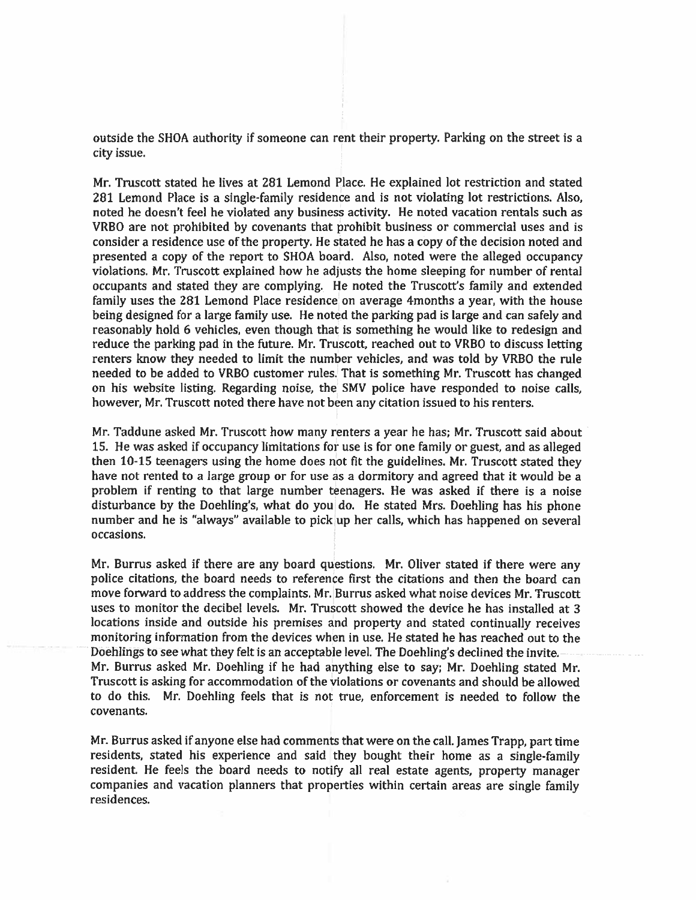outside the SHOA authority if someone can rent their property. Parking on the street is <sup>a</sup> city issue.

Mr. Truscott stated he lives at 281 Lemond Place, He explained lot restriction and stated 281 Lemond Place is <sup>a</sup> single-family residence and is not violating lot restrictions. Also, noted he doesn't feel he violated any business activity. He noted vacation rentals such as VRBO are not prohibited by covenants that prohibit business or commercial uses and is consider a residence use of the property. He stated he has a copy of the decision noted and presented a copy of the report to SHOA board. Also, noted were the alleged occupancy violations. Mr. Truscott explained how he adjusts the home sleeping for number of rental occupants and stated they are complying. He noted the Truscott's family and extended family uses the 281 Lemond Place residence on average 4months a year, with the house being designed for <sup>a</sup> large family use. He noted the parking pad is large and can safely and reasonably hold 6 vehicles, even though that is something he would like to redesign and reduce the parking pad in the future. Mr. Truscott, reached out to VRBO to discuss letting renters know they needed to limit the number vehicles, and was told by VR8O the rule needed to be added to VRBO customer rules. That is something Mr. Truscott has changed on his website listing. Regarding noise, the SMV police have responded to noise calls, however, Mr. Truscott noted there have not been any citation issued to his renters.

Mr. Taddune asked Mr. Truscott how many renters <sup>a</sup> year he has; Mr. Truscott said about 15. He was asked if occupancy limitations for use is for one family or guest, and as alleged then 10-15 teenagers using the home does not fit the guidelines. Mr. Truscott stated they have not rented to <sup>a</sup> large group or for use as <sup>a</sup> dormitory and agreed that it would be <sup>a</sup> problem if renting to that large number teenagers. He was asked if there is <sup>a</sup> noise disturbance by the Doehling's, what do you do. He stated Mrs. Doehling has his <sup>p</sup>hone number and he is "always" available to <sup>p</sup>ick up her calls, which has happened on several occasions.

Mr. Burrus asked if there are any board questions. Mr. Oliver stated if there were any police citations, the board needs to reference first the citations and then the board can move forward to address the complaints. Mr. Burrus asked what noise devices Mr. Truscott uses to monitor the decibel levels. Mr. Truscott showed the device he has installed at 3 locations inside and outside his premises and property and stated continually receives monitoring information from the devices when in use. He stated he has reached out to the Doehlings to see what they felt is an acceptable level. The Doehling's declined the invite. Mr. Burrus asked Mr. Doehling if he had anything else to say; Mr. Doehling stated Mr. Truscott is asking for accommodation of the violations or covenants and should be allowed to do this. Mr. Doehling feels that is not true, enforcement is needed to follow the covenants.

Mr. Burrus asked if anyone else had comments that were on the call. James Trapp, par<sup>t</sup> time residents, stated his experience and said they bought their home as <sup>a</sup> single-family resident. He feels the board needs to notify all real estate agents, property manager companies and vacation <sup>p</sup>lanners that properties within certain areas are single family residences.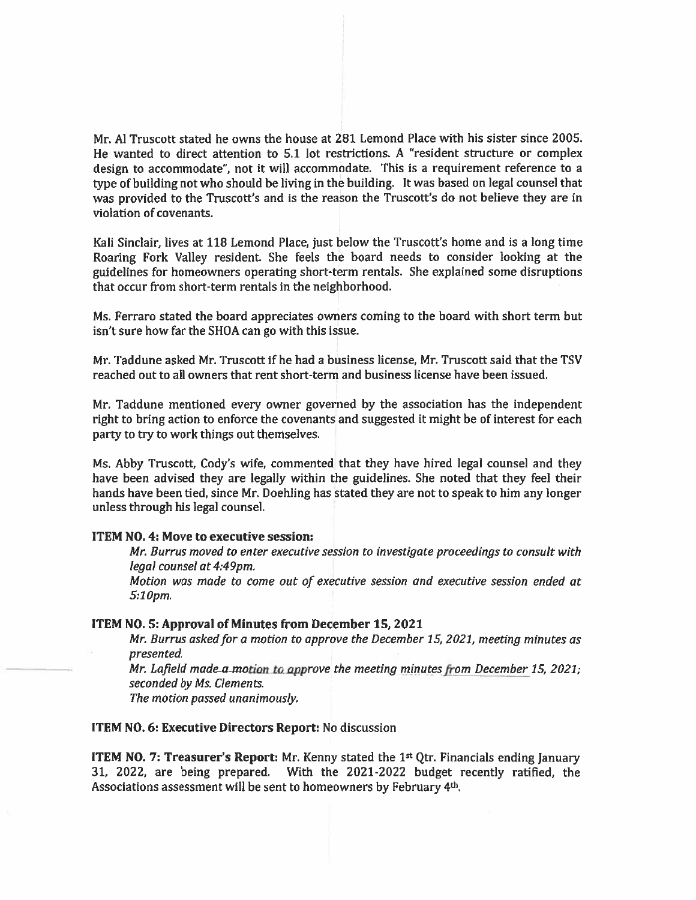Mr. Al Truscott stated he owns the house at 281 Lemond Place with his sister since 2005. He wanted to direct attention to 5.1 lot restrictions. A "resident structure or complex design to accommodate", not it will accommodate. This is <sup>a</sup> requirement reference to <sup>a</sup> type of building not who should be living in the building. It was based on legal counsel that was provided to the Truscott's and is the reason the Truscott's do not believe they are in violation of covenants.

Kali Sinclair, lives at 118 Lemond Place, just below the Truscott's home and is <sup>a</sup> long time Roaring Fork Valley resident. She feels the board needs to consider looking at the guidelines for homeowners operating short-term rentals. She explained some disruptions that occur from short-term rentals in the neighborhood.

Ms. Ferraro stated the board appreciates owners coming to the board with short term but isn't sure how far the SHOA can go with this issue.

Mr. Taddune asked Mr. Truscott if he had <sup>a</sup> business license, Mr. Truscott said that the TSV reached out to all owners that rent short-term and business license have been issued.

Mr. Taddune mentioned every owner governed by the association has the independent right to bring action to enforce the covenants and suggested it might be of interest for each party to try to work things out themselves.

Ms. Abby Truscott, Cody's wife, commented that they have hired legal counsel and they have been advised they are legally within the guidelines. She noted that they feel their hands have been tied, since Mr. Doehling has stated they are not to speak to him any longer unless through his legal counsel.

### ITEM NO. 4: Move to executive session:

Mr. Burrus moved to enter executive session to investigate proceedings to consult with legal counsel at 4:49pm.

Motion was made to come out of executive session and executive session ended at 5:10pm.

### ITEM NO.5: Approval of Minutes from December 15, 2021

Mr. Burrus asked for <sup>a</sup> motion to approve the December 15, 2021, meeting minutes as presented.

Mr. Lafield made a motion to approve the meeting minutes from December 15, 2021; seconded by Ms. Ciements.

The motion passed unanimously.

#### ITEM NO. 6: Executive Directors Report: No discussion

**ITEM NO. 7: Treasurer's Report:** Mr. Kenny stated the  $1<sup>st</sup>$  Qtr. Financials ending January 31, 2022, are being prepared. With the 2021-2022 budget recently ratified, the Associations assessment will be sent to homeowners by February 4th.